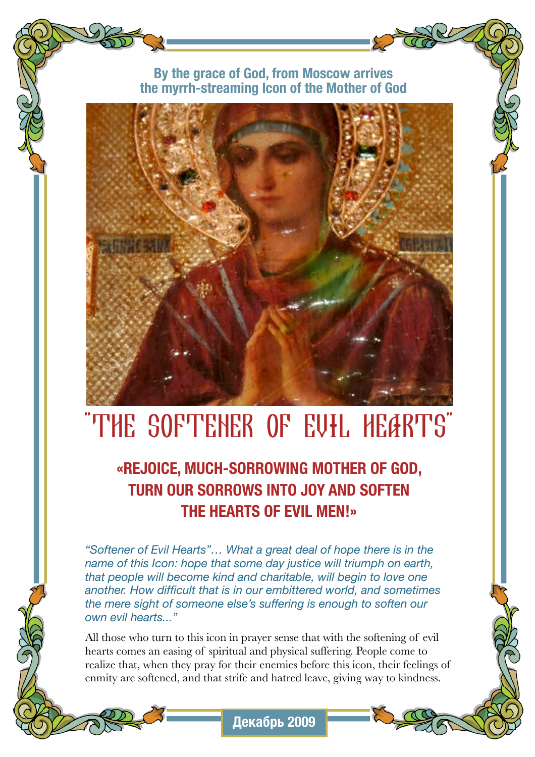### **By the grace of God, from Moscow arrives the myrrh-streaming Icon of the Mother of God**



# "THE SOFTENER OF EVIL HEARTS"

**«REJOICE, MUCH-SORROWING MOTHER OF GOD, TURN OUR SORROWS INTO JOY AND SOFTEN THE HEARTS OF EVIL MEN!»**

*"Softener of Evil Hearts"… What a great deal of hope there is in the name of this Icon: hope that some day justice will triumph on earth, that people will become kind and charitable, will begin to love one another. How difficult that is in our embittered world, and sometimes the mere sight of someone else's suffering is enough to soften our own evil hearts..."*

All those who turn to this icon in prayer sense that with the softening of evil hearts comes an easing of spiritual and physical suffering. People come to realize that, when they pray for their enemies before this icon, their feelings of enmity are softened, and that strife and hatred leave, giving way to kindness.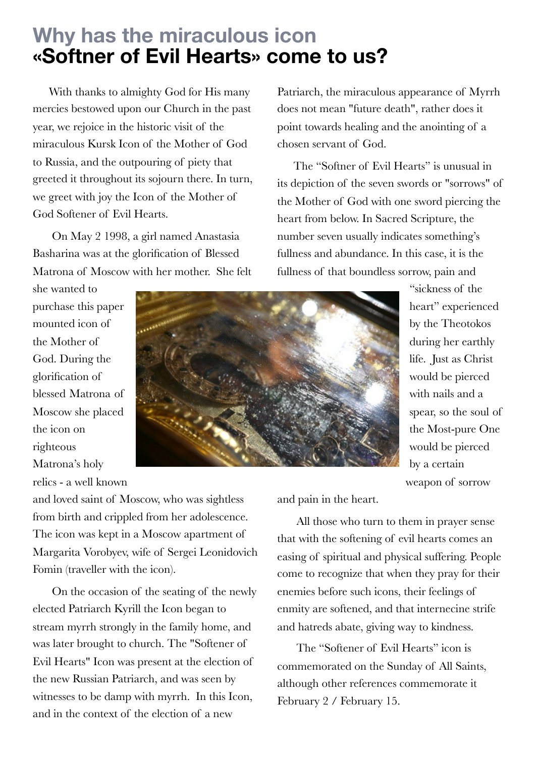# **Why has the miraculous icon «Softner of Evil Hearts» come to us?**

With thanks to almighty God for His many mercies bestowed upon our Church in the past year, we rejoice in the historic visit of the miraculous Kursk Icon of the Mother of God to Russia, and the outpouring of piety that greeted it throughout its sojourn there. In turn, we greet with joy the Icon of the Mother of God Softener of Evil Hearts.

On May 2 1998, a girl named Anastasia Basharina was at the glorification of Blessed Matrona of Moscow with her mother. She felt

Patriarch, the miraculous appearance of Myrrh does not mean "future death", rather does it point towards healing and the anointing of a chosen servant of God.

The "Softner of Evil Hearts" is unusual in its depiction of the seven swords or "sorrows" of the Mother of God with one sword piercing the heart from below. In Sacred Scripture, the number seven usually indicates something's fullness and abundance. In this case, it is the fullness of that boundless sorrow, pain and

she wanted to purchase this paper mounted icon of the Mother of God. During the glorification of blessed Matrona of Moscow she placed the icon on righteous Matrona's holy relics - a well known



"sickness of the heart" experienced by the Theotokos during her earthly life. Just as Christ would be pierced with nails and a spear, so the soul of the Most-pure One would be pierced by a certain weapon of sorrow

and loved saint of Moscow, who was sightless from birth and crippled from her adolescence. The icon was kept in a Moscow apartment of Margarita Vorobyev, wife of Sergei Leonidovich Fomin (traveller with the icon).

On the occasion of the seating of the newly elected Patriarch Kyrill the Icon began to stream myrrh strongly in the family home, and was later brought to church. The "Softener of Evil Hearts" Icon was present at the election of the new Russian Patriarch, and was seen by witnesses to be damp with myrrh. In this Icon, and in the context of the election of a new

and pain in the heart.

All those who turn to them in prayer sense that with the softening of evil hearts comes an easing of spiritual and physical suffering. People come to recognize that when they pray for their enemies before such icons, their feelings of enmity are softened, and that internecine strife and hatreds abate, giving way to kindness.

 The "Softener of Evil Hearts" icon is commemorated on the Sunday of All Saints, although other references commemorate it February 2 / February 15.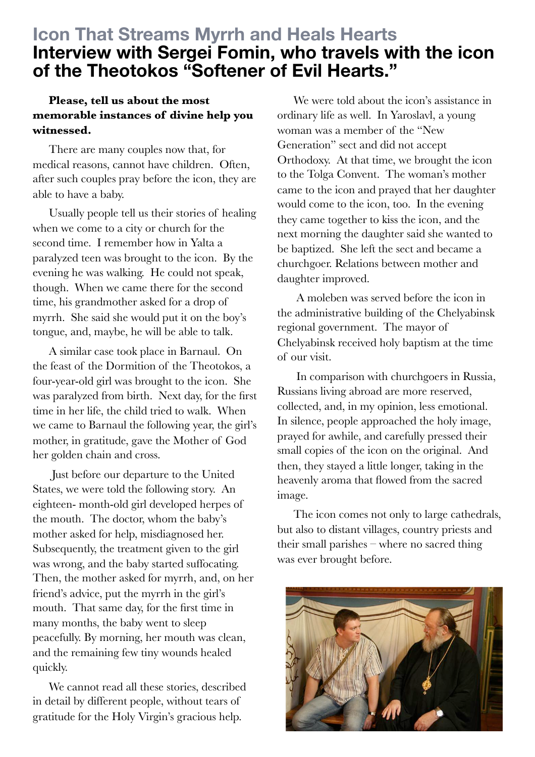### **Icon That Streams Myrrh and Heals Hearts Interview with Sergei Fomin, who travels with the icon of the Theotokos "Softener of Evil Hearts."**

### **Please, tell us about the most memorable instances of divine help you witnessed.**

There are many couples now that, for medical reasons, cannot have children. Often, after such couples pray before the icon, they are able to have a baby.

Usually people tell us their stories of healing when we come to a city or church for the second time. I remember how in Yalta a paralyzed teen was brought to the icon. By the evening he was walking. He could not speak, though. When we came there for the second time, his grandmother asked for a drop of myrrh. She said she would put it on the boy's tongue, and, maybe, he will be able to talk.

A similar case took place in Barnaul. On the feast of the Dormition of the Theotokos, a four-year-old girl was brought to the icon. She was paralyzed from birth. Next day, for the first time in her life, the child tried to walk. When we came to Barnaul the following year, the girl's mother, in gratitude, gave the Mother of God her golden chain and cross.

Just before our departure to the United States, we were told the following story. An eighteen- month-old girl developed herpes of the mouth. The doctor, whom the baby's mother asked for help, misdiagnosed her. Subsequently, the treatment given to the girl was wrong, and the baby started suffocating. Then, the mother asked for myrrh, and, on her friend's advice, put the myrrh in the girl's mouth. That same day, for the first time in many months, the baby went to sleep peacefully. By morning, her mouth was clean, and the remaining few tiny wounds healed quickly.

We cannot read all these stories, described in detail by different people, without tears of gratitude for the Holy Virgin's gracious help.

We were told about the icon's assistance in ordinary life as well. In Yaroslavl, a young woman was a member of the "New Generation" sect and did not accept Orthodoxy. At that time, we brought the icon to the Tolga Convent. The woman's mother came to the icon and prayed that her daughter would come to the icon, too. In the evening they came together to kiss the icon, and the next morning the daughter said she wanted to be baptized. She left the sect and became a churchgoer. Relations between mother and daughter improved.

A moleben was served before the icon in the administrative building of the Chelyabinsk regional government. The mayor of Chelyabinsk received holy baptism at the time of our visit.

In comparison with churchgoers in Russia, Russians living abroad are more reserved, collected, and, in my opinion, less emotional. In silence, people approached the holy image, prayed for awhile, and carefully pressed their small copies of the icon on the original. And then, they stayed a little longer, taking in the heavenly aroma that flowed from the sacred image.

The icon comes not only to large cathedrals, but also to distant villages, country priests and their small parishes – where no sacred thing was ever brought before.